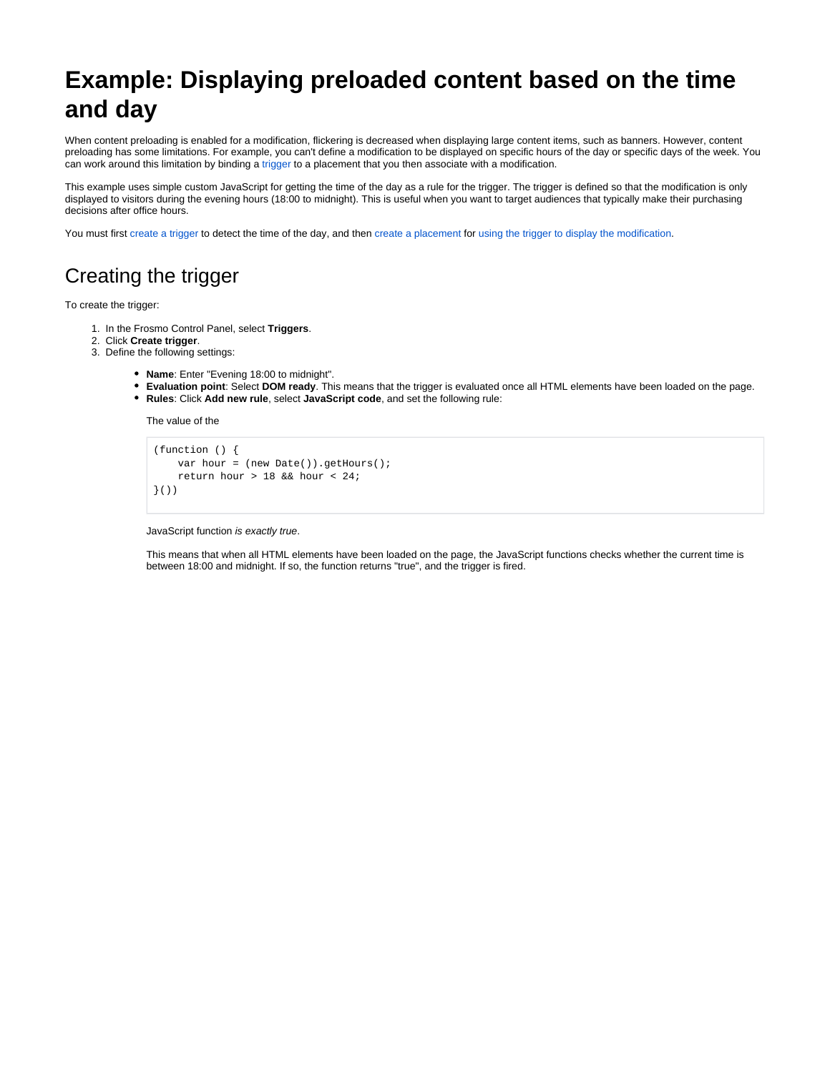# **Example: Displaying preloaded content based on the time and day**

When content preloading is enabled for a modification, flickering is decreased when displaying large content items, such as banners. However, content preloading has some limitations. For example, you can't define a modification to be displayed on specific hours of the day or specific days of the week. You can work around this limitation by binding a [trigger](https://docs.frosmo.com/display/platform/Feature%3A+Trigger) to a placement that you then associate with a modification.

This example uses simple custom JavaScript for getting the time of the day as a rule for the trigger. The trigger is defined so that the modification is only displayed to visitors during the evening hours (18:00 to midnight). This is useful when you want to target audiences that typically make their purchasing decisions after office hours.

You must first [create a trigger](#page-0-0) to detect the time of the day, and then [create a placement](#page-1-0) for [using the trigger to display the modification](#page-2-0).

### <span id="page-0-0"></span>Creating the trigger

To create the trigger:

- 1. In the Frosmo Control Panel, select **Triggers**.
- 2. Click **Create trigger**.
- 3. Define the following settings:
	- **Name**: Enter "Evening 18:00 to midnight".
	- **Evaluation point**: Select **DOM ready**. This means that the trigger is evaluated once all HTML elements have been loaded on the page.
	- **Rules**: Click **Add new rule**, select **JavaScript code**, and set the following rule:

The value of the

```
(function () {
     var hour = (new Date()).getHours();
     return hour > 18 && hour < 24;
}())
```
#### JavaScript function is exactly true.

This means that when all HTML elements have been loaded on the page, the JavaScript functions checks whether the current time is between 18:00 and midnight. If so, the function returns "true", and the trigger is fired.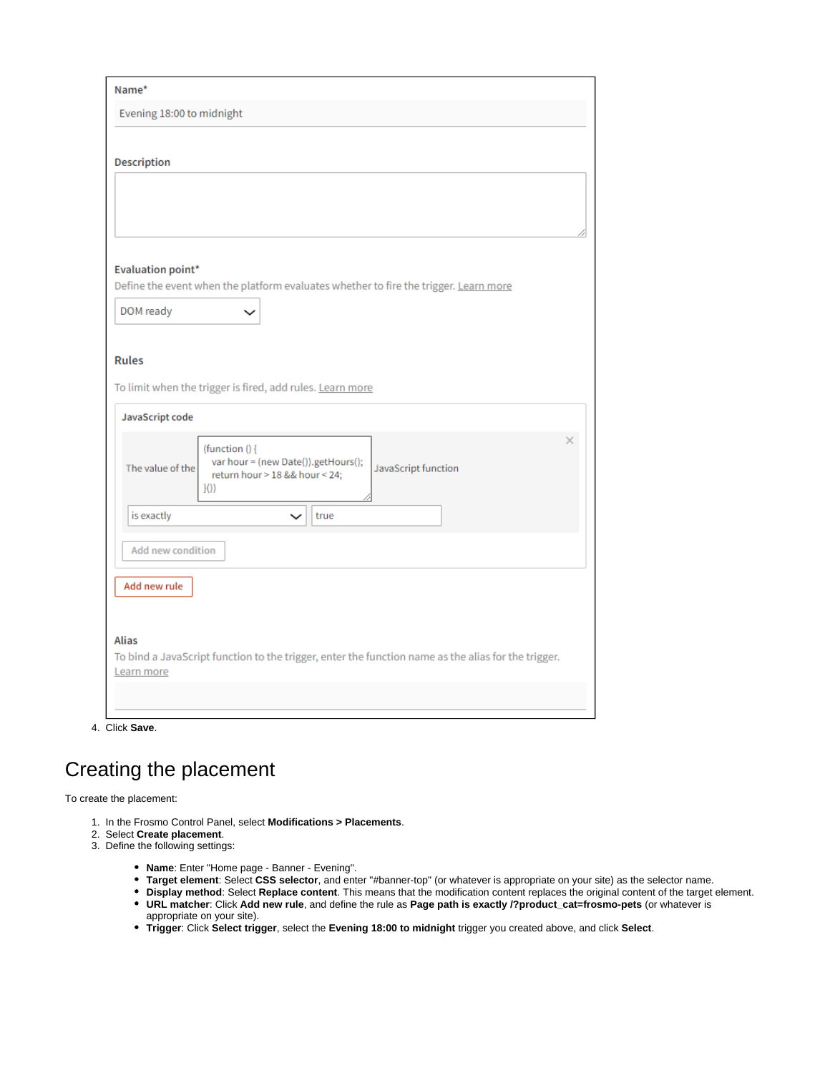| Name*                                                                                                             |          |
|-------------------------------------------------------------------------------------------------------------------|----------|
| Evening 18:00 to midnight                                                                                         |          |
| <b>Description</b>                                                                                                |          |
|                                                                                                                   |          |
|                                                                                                                   |          |
|                                                                                                                   |          |
| <b>Evaluation point*</b>                                                                                          |          |
| Define the event when the platform evaluates whether to fire the trigger. Learn more                              |          |
| DOM ready                                                                                                         |          |
|                                                                                                                   |          |
| <b>Rules</b>                                                                                                      |          |
| To limit when the trigger is fired, add rules. Learn more                                                         |          |
| JavaScript code                                                                                                   |          |
| (function () {                                                                                                    | $\times$ |
| var hour = (new Date()).getHours();<br>The value of the<br>JavaScript function<br>return hour > 18 && hour < 24;  |          |
| H()                                                                                                               |          |
| is exactly<br>true<br>$\check{ }$                                                                                 |          |
| <b>Add new condition</b>                                                                                          |          |
|                                                                                                                   |          |
| Add new rule                                                                                                      |          |
|                                                                                                                   |          |
| <b>Alias</b>                                                                                                      |          |
| To bind a JavaScript function to the trigger, enter the function name as the alias for the trigger.<br>Learn more |          |
|                                                                                                                   |          |

4. Click **Save**.

## <span id="page-1-0"></span>Creating the placement

To create the placement:

- 1. In the Frosmo Control Panel, select **Modifications > Placements**.
- 2. Select **Create placement**.
- 3. Define the following settings:
	- **Name**: Enter "Home page Banner Evening".
	- **Target element**: Select **CSS selector**, and enter "#banner-top" (or whatever is appropriate on your site) as the selector name.
	- **Display method**: Select **Replace content**. This means that the modification content replaces the original content of the target element. **URL matcher**: Click **Add new rule**, and define the rule as **Page path is exactly /?product\_cat=frosmo-pets** (or whatever is
	- appropriate on your site).
	- **Trigger**: Click **Select trigger**, select the **Evening 18:00 to midnight** trigger you created above, and click **Select**.